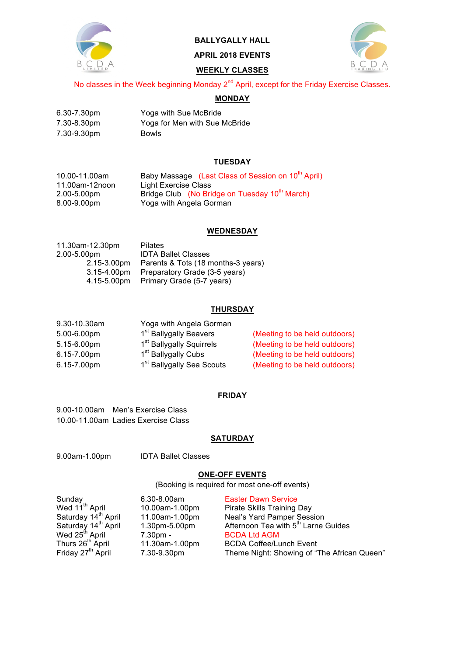

# **BALLYGALLY HALL**

**APRIL 2018 EVENTS**

## **WEEKLY CLASSES**

No classes in the Week beginning Monday 2<sup>nd</sup> April, except for the Friday Exercise Classes.

# **MONDAY**

| 6.30-7.30pm | Yoga with Sue McBride         |
|-------------|-------------------------------|
| 7.30-8.30pm | Yoga for Men with Sue McBride |
| 7.30-9.30pm | <b>Bowls</b>                  |

## **TUESDAY**

| 10.00-11.00am  | Baby Massage (Last Class of Session on 10 <sup>th</sup> April) |
|----------------|----------------------------------------------------------------|
| 11.00am-12noon | Light Exercise Class                                           |
| 2.00-5.00pm    | Bridge Club (No Bridge on Tuesday 10 <sup>th</sup> March)      |
| 8.00-9.00pm    | Yoga with Angela Gorman                                        |

#### **WEDNESDAY**

| 11.30am-12.30pm  | <b>Pilates</b>                     |
|------------------|------------------------------------|
| 2.00-5.00pm      | <b>IDTA Ballet Classes</b>         |
| 2.15-3.00pm      | Parents & Tots (18 months-3 years) |
| $3.15 - 4.00$ pm | Preparatory Grade (3-5 years)      |
| 4.15-5.00pm      | Primary Grade (5-7 years)          |
|                  |                                    |

## **THURSDAY**

| 9.30-10.30am | Yoga with Angela Gorman               |                               |
|--------------|---------------------------------------|-------------------------------|
| 5.00-6.00pm  | 1 <sup>st</sup> Ballygally Beavers    | (Meeting to be held outdoors) |
| 5.15-6.00pm  | 1 <sup>st</sup> Ballygally Squirrels  | (Meeting to be held outdoors) |
| 6.15-7.00pm  | 1 <sup>st</sup> Ballygally Cubs       | (Meeting to be held outdoors) |
| 6.15-7.00pm  | 1 <sup>st</sup> Ballygally Sea Scouts | (Meeting to be held outdoors) |

## **FRIDAY**

9.00-10.00am Men's Exercise Class 10.00-11.00am Ladies Exercise Class

### **SATURDAY**

9.00am-1.00pm IDTA Ballet Classes

## **ONE-OFF EVENTS**

(Booking is required for most one-off events)

| Sunday                          | $6.30 - 8.00$ am | <b>Easter Dawn Service</b>                      |
|---------------------------------|------------------|-------------------------------------------------|
| Wed 11 <sup>th</sup> April      | 10.00am-1.00pm   | Pirate Skills Training Day                      |
| Saturday 14 <sup>th</sup> April | 11.00am-1.00pm   | Neal's Yard Pamper Session                      |
| Saturday 14 <sup>th</sup> April | 1.30pm-5.00pm    | Afternoon Tea with 5 <sup>th</sup> Larne Guides |
| Wed 25 <sup>th</sup> April      | $7.30pm$ -       | <b>BCDA Ltd AGM</b>                             |
| Thurs 26 <sup>th</sup> April    | 11.30am-1.00pm   | <b>BCDA Coffee/Lunch Event</b>                  |
| Friday 27 <sup>th</sup> April   | 7.30-9.30pm      | Theme Night: Showing of "The African Queen"     |
|                                 |                  |                                                 |